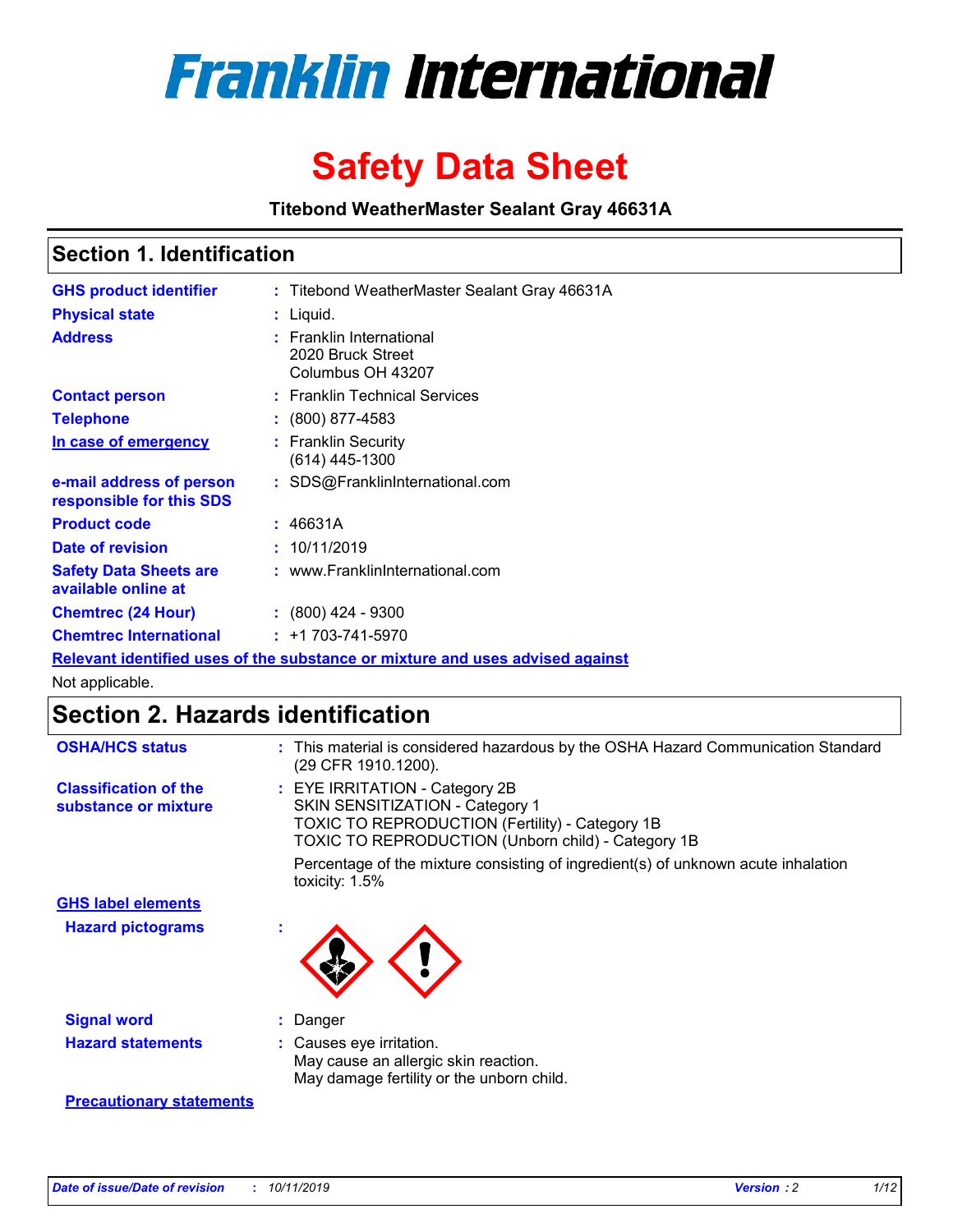

# **Safety Data Sheet**

**Titebond WeatherMaster Sealant Gray 46631A**

### **Section 1. Identification**

| <b>GHS product identifier</b>                        | : Titebond WeatherMaster Sealant Gray 46631A                                  |
|------------------------------------------------------|-------------------------------------------------------------------------------|
| <b>Physical state</b>                                | : Liquid.                                                                     |
| <b>Address</b>                                       | : Franklin International<br>2020 Bruck Street<br>Columbus OH 43207            |
| <b>Contact person</b>                                | : Franklin Technical Services                                                 |
| <b>Telephone</b>                                     | $\colon$ (800) 877-4583                                                       |
| In case of emergency                                 | : Franklin Security<br>(614) 445-1300                                         |
| e-mail address of person<br>responsible for this SDS | : SDS@FranklinInternational.com                                               |
| <b>Product code</b>                                  | : 46631A                                                                      |
| Date of revision                                     | : 10/11/2019                                                                  |
| <b>Safety Data Sheets are</b><br>available online at | : www.FranklinInternational.com                                               |
| <b>Chemtrec (24 Hour)</b>                            | $: (800)$ 424 - 9300                                                          |
| <b>Chemtrec International</b>                        | $: +1703 - 741 - 5970$                                                        |
|                                                      | Relevant identified uses of the substance or mixture and uses advised against |

Not applicable.

## **Section 2. Hazards identification**

| <b>OSHA/HCS status</b>                               | : This material is considered hazardous by the OSHA Hazard Communication Standard<br>(29 CFR 1910.1200).                                                                                 |
|------------------------------------------------------|------------------------------------------------------------------------------------------------------------------------------------------------------------------------------------------|
| <b>Classification of the</b><br>substance or mixture | : EYE IRRITATION - Category 2B<br>SKIN SENSITIZATION - Category 1<br><b>TOXIC TO REPRODUCTION (Fertility) - Category 1B</b><br><b>TOXIC TO REPRODUCTION (Unborn child) - Category 1B</b> |
|                                                      | Percentage of the mixture consisting of ingredient(s) of unknown acute inhalation<br>toxicity: $1.5\%$                                                                                   |
| <b>GHS label elements</b>                            |                                                                                                                                                                                          |
| <b>Hazard pictograms</b>                             |                                                                                                                                                                                          |
| <b>Signal word</b>                                   | : Danger                                                                                                                                                                                 |
| <b>Hazard statements</b>                             | : Causes eye irritation.<br>May cause an allergic skin reaction.<br>May damage fertility or the unborn child.                                                                            |
| <b>Precautionary statements</b>                      |                                                                                                                                                                                          |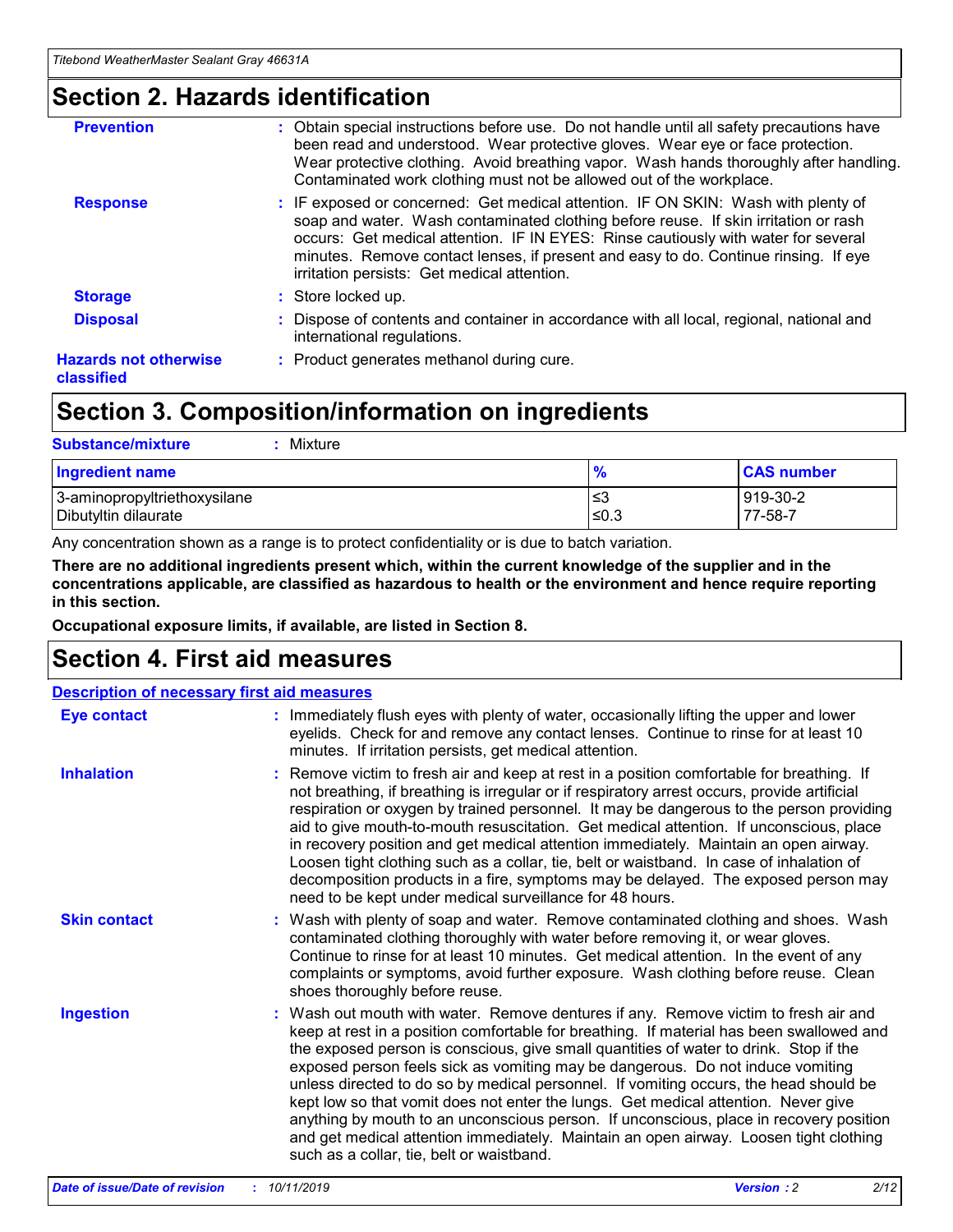### **Section 2. Hazards identification**

| <b>Prevention</b>                          | : Obtain special instructions before use. Do not handle until all safety precautions have<br>been read and understood. Wear protective gloves. Wear eye or face protection.<br>Wear protective clothing. Avoid breathing vapor. Wash hands thoroughly after handling.<br>Contaminated work clothing must not be allowed out of the workplace.                                                        |
|--------------------------------------------|------------------------------------------------------------------------------------------------------------------------------------------------------------------------------------------------------------------------------------------------------------------------------------------------------------------------------------------------------------------------------------------------------|
| <b>Response</b>                            | : IF exposed or concerned: Get medical attention. IF ON SKIN: Wash with plenty of<br>soap and water. Wash contaminated clothing before reuse. If skin irritation or rash<br>occurs: Get medical attention. IF IN EYES: Rinse cautiously with water for several<br>minutes. Remove contact lenses, if present and easy to do. Continue rinsing. If eye<br>irritation persists: Get medical attention. |
| <b>Storage</b>                             | : Store locked up.                                                                                                                                                                                                                                                                                                                                                                                   |
| <b>Disposal</b>                            | : Dispose of contents and container in accordance with all local, regional, national and<br>international regulations.                                                                                                                                                                                                                                                                               |
| <b>Hazards not otherwise</b><br>classified | : Product generates methanol during cure.                                                                                                                                                                                                                                                                                                                                                            |
|                                            |                                                                                                                                                                                                                                                                                                                                                                                                      |

### **Section 3. Composition/information on ingredients**

| <b>Substance/mixture</b><br>: Mixture                |               |                     |
|------------------------------------------------------|---------------|---------------------|
| Ingredient name                                      | $\frac{9}{6}$ | <b>CAS number</b>   |
| 3-aminopropyltriethoxysilane<br>Dibutyltin dilaurate | צ≥<br>≤0.3    | 919-30-2<br>77-58-7 |

Any concentration shown as a range is to protect confidentiality or is due to batch variation.

**There are no additional ingredients present which, within the current knowledge of the supplier and in the concentrations applicable, are classified as hazardous to health or the environment and hence require reporting in this section.**

**Occupational exposure limits, if available, are listed in Section 8.**

### **Section 4. First aid measures**

| <b>Description of necessary first aid measures</b> |                                                                                                                                                                                                                                                                                                                                                                                                                                                                                                                                                                                                                                                                                                                                                                           |  |  |  |
|----------------------------------------------------|---------------------------------------------------------------------------------------------------------------------------------------------------------------------------------------------------------------------------------------------------------------------------------------------------------------------------------------------------------------------------------------------------------------------------------------------------------------------------------------------------------------------------------------------------------------------------------------------------------------------------------------------------------------------------------------------------------------------------------------------------------------------------|--|--|--|
| <b>Eye contact</b>                                 | : Immediately flush eyes with plenty of water, occasionally lifting the upper and lower<br>eyelids. Check for and remove any contact lenses. Continue to rinse for at least 10<br>minutes. If irritation persists, get medical attention.                                                                                                                                                                                                                                                                                                                                                                                                                                                                                                                                 |  |  |  |
| <b>Inhalation</b>                                  | : Remove victim to fresh air and keep at rest in a position comfortable for breathing. If<br>not breathing, if breathing is irregular or if respiratory arrest occurs, provide artificial<br>respiration or oxygen by trained personnel. It may be dangerous to the person providing<br>aid to give mouth-to-mouth resuscitation. Get medical attention. If unconscious, place<br>in recovery position and get medical attention immediately. Maintain an open airway.<br>Loosen tight clothing such as a collar, tie, belt or waistband. In case of inhalation of<br>decomposition products in a fire, symptoms may be delayed. The exposed person may<br>need to be kept under medical surveillance for 48 hours.                                                       |  |  |  |
| <b>Skin contact</b>                                | : Wash with plenty of soap and water. Remove contaminated clothing and shoes. Wash<br>contaminated clothing thoroughly with water before removing it, or wear gloves.<br>Continue to rinse for at least 10 minutes. Get medical attention. In the event of any<br>complaints or symptoms, avoid further exposure. Wash clothing before reuse. Clean<br>shoes thoroughly before reuse.                                                                                                                                                                                                                                                                                                                                                                                     |  |  |  |
| <b>Ingestion</b>                                   | : Wash out mouth with water. Remove dentures if any. Remove victim to fresh air and<br>keep at rest in a position comfortable for breathing. If material has been swallowed and<br>the exposed person is conscious, give small quantities of water to drink. Stop if the<br>exposed person feels sick as vomiting may be dangerous. Do not induce vomiting<br>unless directed to do so by medical personnel. If vomiting occurs, the head should be<br>kept low so that vomit does not enter the lungs. Get medical attention. Never give<br>anything by mouth to an unconscious person. If unconscious, place in recovery position<br>and get medical attention immediately. Maintain an open airway. Loosen tight clothing<br>such as a collar, tie, belt or waistband. |  |  |  |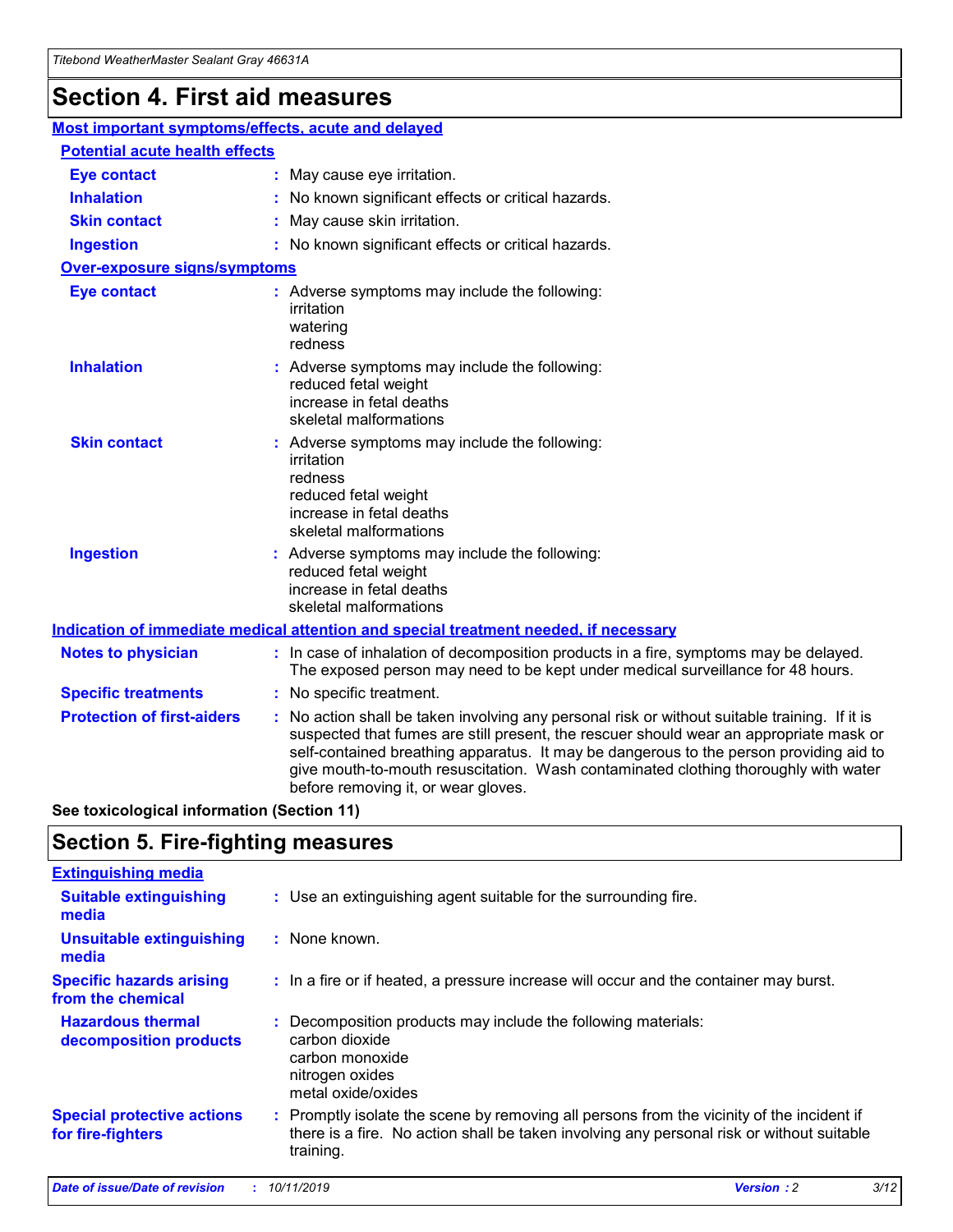## **Section 4. First aid measures**

| Most important symptoms/effects, acute and delayed |                                       |                                                                                                                                                                                                                                                                                                                                                                                                                 |  |  |  |
|----------------------------------------------------|---------------------------------------|-----------------------------------------------------------------------------------------------------------------------------------------------------------------------------------------------------------------------------------------------------------------------------------------------------------------------------------------------------------------------------------------------------------------|--|--|--|
|                                                    | <b>Potential acute health effects</b> |                                                                                                                                                                                                                                                                                                                                                                                                                 |  |  |  |
| <b>Eye contact</b>                                 |                                       | : May cause eye irritation.                                                                                                                                                                                                                                                                                                                                                                                     |  |  |  |
| <b>Inhalation</b>                                  |                                       | : No known significant effects or critical hazards.                                                                                                                                                                                                                                                                                                                                                             |  |  |  |
| <b>Skin contact</b>                                |                                       | : May cause skin irritation.                                                                                                                                                                                                                                                                                                                                                                                    |  |  |  |
| <b>Ingestion</b>                                   |                                       | : No known significant effects or critical hazards.                                                                                                                                                                                                                                                                                                                                                             |  |  |  |
| Over-exposure signs/symptoms                       |                                       |                                                                                                                                                                                                                                                                                                                                                                                                                 |  |  |  |
| <b>Eye contact</b>                                 |                                       | : Adverse symptoms may include the following:<br>irritation<br>watering<br>redness                                                                                                                                                                                                                                                                                                                              |  |  |  |
| <b>Inhalation</b>                                  |                                       | : Adverse symptoms may include the following:<br>reduced fetal weight<br>increase in fetal deaths<br>skeletal malformations                                                                                                                                                                                                                                                                                     |  |  |  |
| <b>Skin contact</b>                                |                                       | : Adverse symptoms may include the following:<br>irritation<br>redness<br>reduced fetal weight<br>increase in fetal deaths<br>skeletal malformations                                                                                                                                                                                                                                                            |  |  |  |
| <b>Ingestion</b>                                   |                                       | : Adverse symptoms may include the following:<br>reduced fetal weight<br>increase in fetal deaths<br>skeletal malformations                                                                                                                                                                                                                                                                                     |  |  |  |
|                                                    |                                       | <b>Indication of immediate medical attention and special treatment needed, if necessary</b>                                                                                                                                                                                                                                                                                                                     |  |  |  |
| <b>Notes to physician</b>                          |                                       | : In case of inhalation of decomposition products in a fire, symptoms may be delayed.<br>The exposed person may need to be kept under medical surveillance for 48 hours.                                                                                                                                                                                                                                        |  |  |  |
| <b>Specific treatments</b>                         |                                       | : No specific treatment.                                                                                                                                                                                                                                                                                                                                                                                        |  |  |  |
| <b>Protection of first-aiders</b>                  |                                       | : No action shall be taken involving any personal risk or without suitable training. If it is<br>suspected that fumes are still present, the rescuer should wear an appropriate mask or<br>self-contained breathing apparatus. It may be dangerous to the person providing aid to<br>give mouth-to-mouth resuscitation. Wash contaminated clothing thoroughly with water<br>before removing it, or wear gloves. |  |  |  |

**See toxicological information (Section 11)**

### **Section 5. Fire-fighting measures**

| <b>Extinguishing media</b>                             |                                                                                                                                                                                                     |
|--------------------------------------------------------|-----------------------------------------------------------------------------------------------------------------------------------------------------------------------------------------------------|
| <b>Suitable extinguishing</b><br>media                 | : Use an extinguishing agent suitable for the surrounding fire.                                                                                                                                     |
| <b>Unsuitable extinguishing</b><br>media               | : None known.                                                                                                                                                                                       |
| <b>Specific hazards arising</b><br>from the chemical   | : In a fire or if heated, a pressure increase will occur and the container may burst.                                                                                                               |
| <b>Hazardous thermal</b><br>decomposition products     | : Decomposition products may include the following materials:<br>carbon dioxide<br>carbon monoxide<br>nitrogen oxides<br>metal oxide/oxides                                                         |
| <b>Special protective actions</b><br>for fire-fighters | : Promptly isolate the scene by removing all persons from the vicinity of the incident if<br>there is a fire. No action shall be taken involving any personal risk or without suitable<br>training. |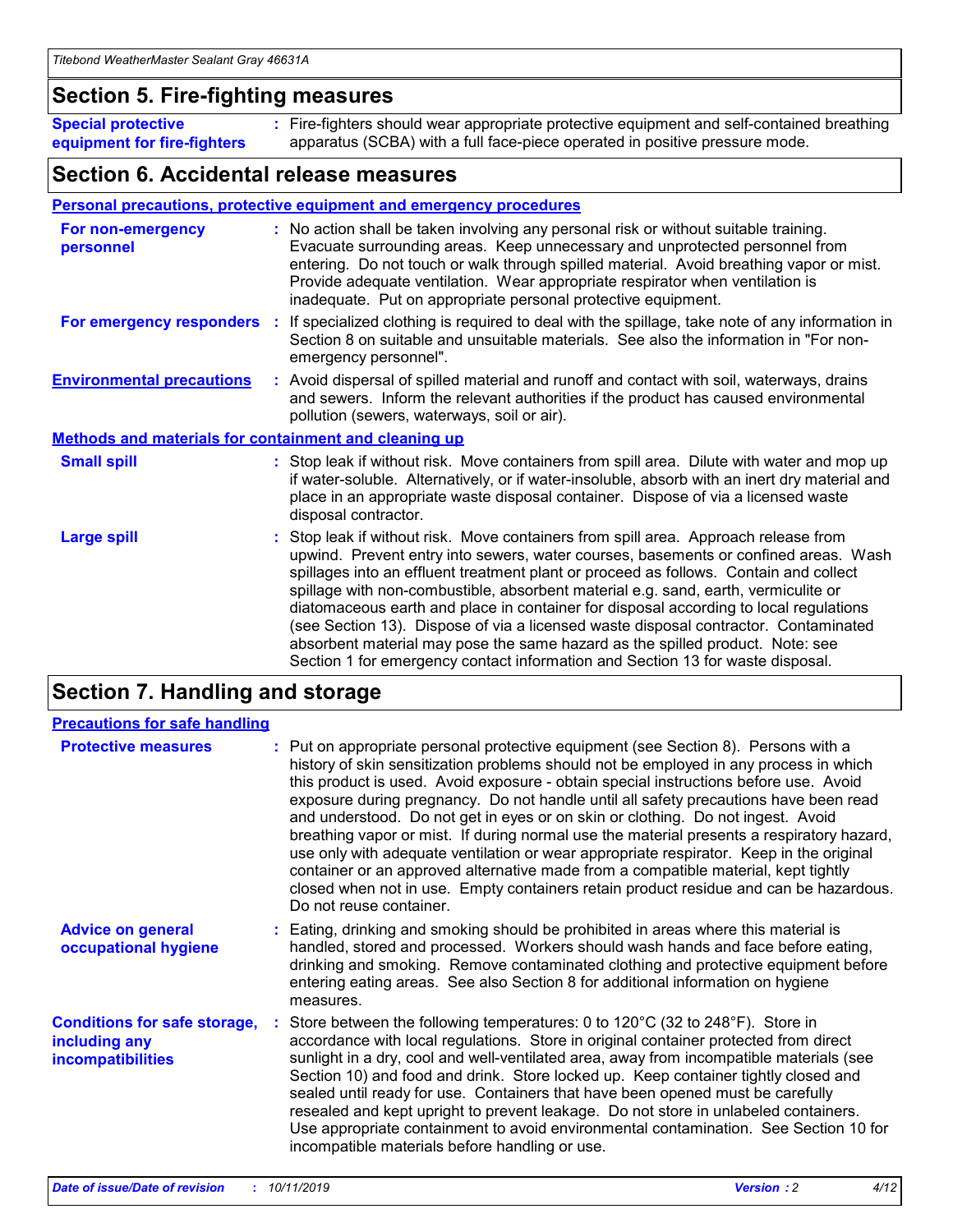### **Section 5. Fire-fighting measures**

**Special protective equipment for fire-fighters** Fire-fighters should wear appropriate protective equipment and self-contained breathing **:** apparatus (SCBA) with a full face-piece operated in positive pressure mode.

### **Section 6. Accidental release measures**

#### **Personal precautions, protective equipment and emergency procedures**

| For non-emergency<br>personnel                               | : No action shall be taken involving any personal risk or without suitable training.<br>Evacuate surrounding areas. Keep unnecessary and unprotected personnel from<br>entering. Do not touch or walk through spilled material. Avoid breathing vapor or mist.<br>Provide adequate ventilation. Wear appropriate respirator when ventilation is<br>inadequate. Put on appropriate personal protective equipment.                                                                                                                                                                                                                                                                                             |
|--------------------------------------------------------------|--------------------------------------------------------------------------------------------------------------------------------------------------------------------------------------------------------------------------------------------------------------------------------------------------------------------------------------------------------------------------------------------------------------------------------------------------------------------------------------------------------------------------------------------------------------------------------------------------------------------------------------------------------------------------------------------------------------|
|                                                              | For emergency responders : If specialized clothing is required to deal with the spillage, take note of any information in<br>Section 8 on suitable and unsuitable materials. See also the information in "For non-<br>emergency personnel".                                                                                                                                                                                                                                                                                                                                                                                                                                                                  |
| <b>Environmental precautions</b>                             | : Avoid dispersal of spilled material and runoff and contact with soil, waterways, drains<br>and sewers. Inform the relevant authorities if the product has caused environmental<br>pollution (sewers, waterways, soil or air).                                                                                                                                                                                                                                                                                                                                                                                                                                                                              |
| <b>Methods and materials for containment and cleaning up</b> |                                                                                                                                                                                                                                                                                                                                                                                                                                                                                                                                                                                                                                                                                                              |
| <b>Small spill</b>                                           | : Stop leak if without risk. Move containers from spill area. Dilute with water and mop up<br>if water-soluble. Alternatively, or if water-insoluble, absorb with an inert dry material and<br>place in an appropriate waste disposal container. Dispose of via a licensed waste<br>disposal contractor.                                                                                                                                                                                                                                                                                                                                                                                                     |
| <b>Large spill</b>                                           | : Stop leak if without risk. Move containers from spill area. Approach release from<br>upwind. Prevent entry into sewers, water courses, basements or confined areas. Wash<br>spillages into an effluent treatment plant or proceed as follows. Contain and collect<br>spillage with non-combustible, absorbent material e.g. sand, earth, vermiculite or<br>diatomaceous earth and place in container for disposal according to local regulations<br>(see Section 13). Dispose of via a licensed waste disposal contractor. Contaminated<br>absorbent material may pose the same hazard as the spilled product. Note: see<br>Section 1 for emergency contact information and Section 13 for waste disposal. |

### **Section 7. Handling and storage**

| <b>Precautions for safe handling</b>                                             |                                                                                                                                                                                                                                                                                                                                                                                                                                                                                                                                                                                                                                                                                                                                                                                                                                                  |
|----------------------------------------------------------------------------------|--------------------------------------------------------------------------------------------------------------------------------------------------------------------------------------------------------------------------------------------------------------------------------------------------------------------------------------------------------------------------------------------------------------------------------------------------------------------------------------------------------------------------------------------------------------------------------------------------------------------------------------------------------------------------------------------------------------------------------------------------------------------------------------------------------------------------------------------------|
| <b>Protective measures</b>                                                       | : Put on appropriate personal protective equipment (see Section 8). Persons with a<br>history of skin sensitization problems should not be employed in any process in which<br>this product is used. Avoid exposure - obtain special instructions before use. Avoid<br>exposure during pregnancy. Do not handle until all safety precautions have been read<br>and understood. Do not get in eyes or on skin or clothing. Do not ingest. Avoid<br>breathing vapor or mist. If during normal use the material presents a respiratory hazard,<br>use only with adequate ventilation or wear appropriate respirator. Keep in the original<br>container or an approved alternative made from a compatible material, kept tightly<br>closed when not in use. Empty containers retain product residue and can be hazardous.<br>Do not reuse container. |
| <b>Advice on general</b><br>occupational hygiene                                 | : Eating, drinking and smoking should be prohibited in areas where this material is<br>handled, stored and processed. Workers should wash hands and face before eating,<br>drinking and smoking. Remove contaminated clothing and protective equipment before<br>entering eating areas. See also Section 8 for additional information on hygiene<br>measures.                                                                                                                                                                                                                                                                                                                                                                                                                                                                                    |
| <b>Conditions for safe storage,</b><br>including any<br><b>incompatibilities</b> | : Store between the following temperatures: 0 to 120 $\degree$ C (32 to 248 $\degree$ F). Store in<br>accordance with local regulations. Store in original container protected from direct<br>sunlight in a dry, cool and well-ventilated area, away from incompatible materials (see<br>Section 10) and food and drink. Store locked up. Keep container tightly closed and<br>sealed until ready for use. Containers that have been opened must be carefully<br>resealed and kept upright to prevent leakage. Do not store in unlabeled containers.<br>Use appropriate containment to avoid environmental contamination. See Section 10 for<br>incompatible materials before handling or use.                                                                                                                                                   |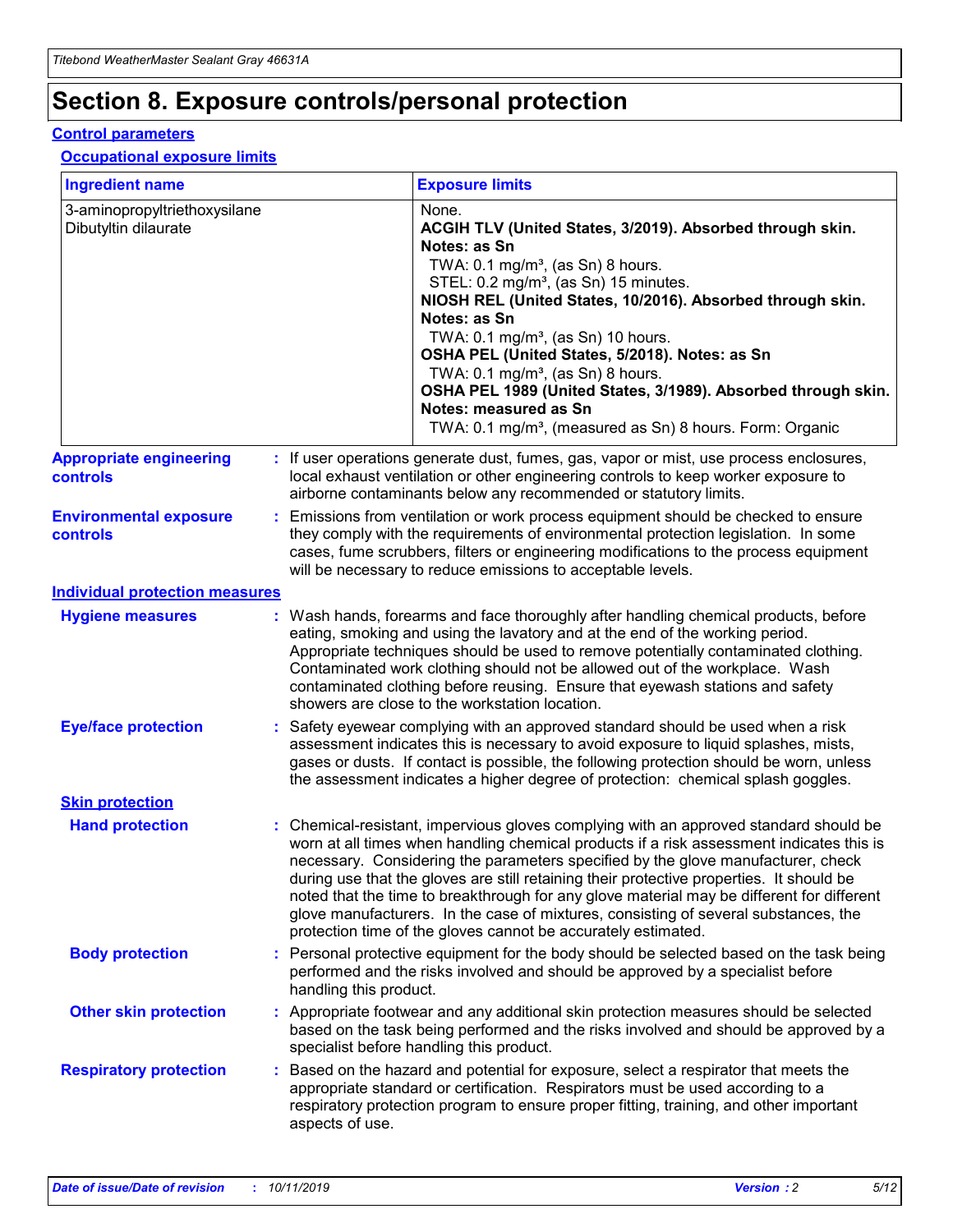## **Section 8. Exposure controls/personal protection**

#### **Control parameters**

#### **Occupational exposure limits**

| <b>Ingredient name</b>                               |    |                        | <b>Exposure limits</b>                                                                                                                                                                                                                                                                                                                                                                                                                                                                                                                                                                                                 |
|------------------------------------------------------|----|------------------------|------------------------------------------------------------------------------------------------------------------------------------------------------------------------------------------------------------------------------------------------------------------------------------------------------------------------------------------------------------------------------------------------------------------------------------------------------------------------------------------------------------------------------------------------------------------------------------------------------------------------|
| 3-aminopropyltriethoxysilane<br>Dibutyltin dilaurate |    |                        | None.<br>ACGIH TLV (United States, 3/2019). Absorbed through skin.<br>Notes: as Sn<br>TWA: $0.1 \text{ mg/m}^3$ , (as Sn) 8 hours.<br>STEL: 0.2 mg/m <sup>3</sup> , (as Sn) 15 minutes.<br>NIOSH REL (United States, 10/2016). Absorbed through skin.<br>Notes: as Sn<br>TWA: 0.1 mg/m <sup>3</sup> , (as Sn) 10 hours.<br>OSHA PEL (United States, 5/2018). Notes: as Sn<br>TWA: $0.1 \text{ mg/m}^3$ , (as Sn) 8 hours.<br>OSHA PEL 1989 (United States, 3/1989). Absorbed through skin.<br>Notes: measured as Sn<br>TWA: 0.1 mg/m <sup>3</sup> , (measured as Sn) 8 hours. Form: Organic                            |
| <b>Appropriate engineering</b><br>controls           |    |                        | : If user operations generate dust, fumes, gas, vapor or mist, use process enclosures,<br>local exhaust ventilation or other engineering controls to keep worker exposure to<br>airborne contaminants below any recommended or statutory limits.                                                                                                                                                                                                                                                                                                                                                                       |
| <b>Environmental exposure</b><br>controls            |    |                        | Emissions from ventilation or work process equipment should be checked to ensure<br>they comply with the requirements of environmental protection legislation. In some<br>cases, fume scrubbers, filters or engineering modifications to the process equipment<br>will be necessary to reduce emissions to acceptable levels.                                                                                                                                                                                                                                                                                          |
| <b>Individual protection measures</b>                |    |                        |                                                                                                                                                                                                                                                                                                                                                                                                                                                                                                                                                                                                                        |
| <b>Hygiene measures</b>                              |    |                        | : Wash hands, forearms and face thoroughly after handling chemical products, before<br>eating, smoking and using the lavatory and at the end of the working period.<br>Appropriate techniques should be used to remove potentially contaminated clothing.<br>Contaminated work clothing should not be allowed out of the workplace. Wash<br>contaminated clothing before reusing. Ensure that eyewash stations and safety<br>showers are close to the workstation location.                                                                                                                                            |
| <b>Eye/face protection</b>                           |    |                        | : Safety eyewear complying with an approved standard should be used when a risk<br>assessment indicates this is necessary to avoid exposure to liquid splashes, mists,<br>gases or dusts. If contact is possible, the following protection should be worn, unless<br>the assessment indicates a higher degree of protection: chemical splash goggles.                                                                                                                                                                                                                                                                  |
| <b>Skin protection</b>                               |    |                        |                                                                                                                                                                                                                                                                                                                                                                                                                                                                                                                                                                                                                        |
| <b>Hand protection</b>                               |    |                        | : Chemical-resistant, impervious gloves complying with an approved standard should be<br>worn at all times when handling chemical products if a risk assessment indicates this is<br>necessary. Considering the parameters specified by the glove manufacturer, check<br>during use that the gloves are still retaining their protective properties. It should be<br>noted that the time to breakthrough for any glove material may be different for different<br>glove manufacturers. In the case of mixtures, consisting of several substances, the<br>protection time of the gloves cannot be accurately estimated. |
| <b>Body protection</b>                               |    | handling this product. | Personal protective equipment for the body should be selected based on the task being<br>performed and the risks involved and should be approved by a specialist before                                                                                                                                                                                                                                                                                                                                                                                                                                                |
| <b>Other skin protection</b>                         |    |                        | : Appropriate footwear and any additional skin protection measures should be selected<br>based on the task being performed and the risks involved and should be approved by a<br>specialist before handling this product.                                                                                                                                                                                                                                                                                                                                                                                              |
| <b>Respiratory protection</b>                        | ÷. | aspects of use.        | Based on the hazard and potential for exposure, select a respirator that meets the<br>appropriate standard or certification. Respirators must be used according to a<br>respiratory protection program to ensure proper fitting, training, and other important                                                                                                                                                                                                                                                                                                                                                         |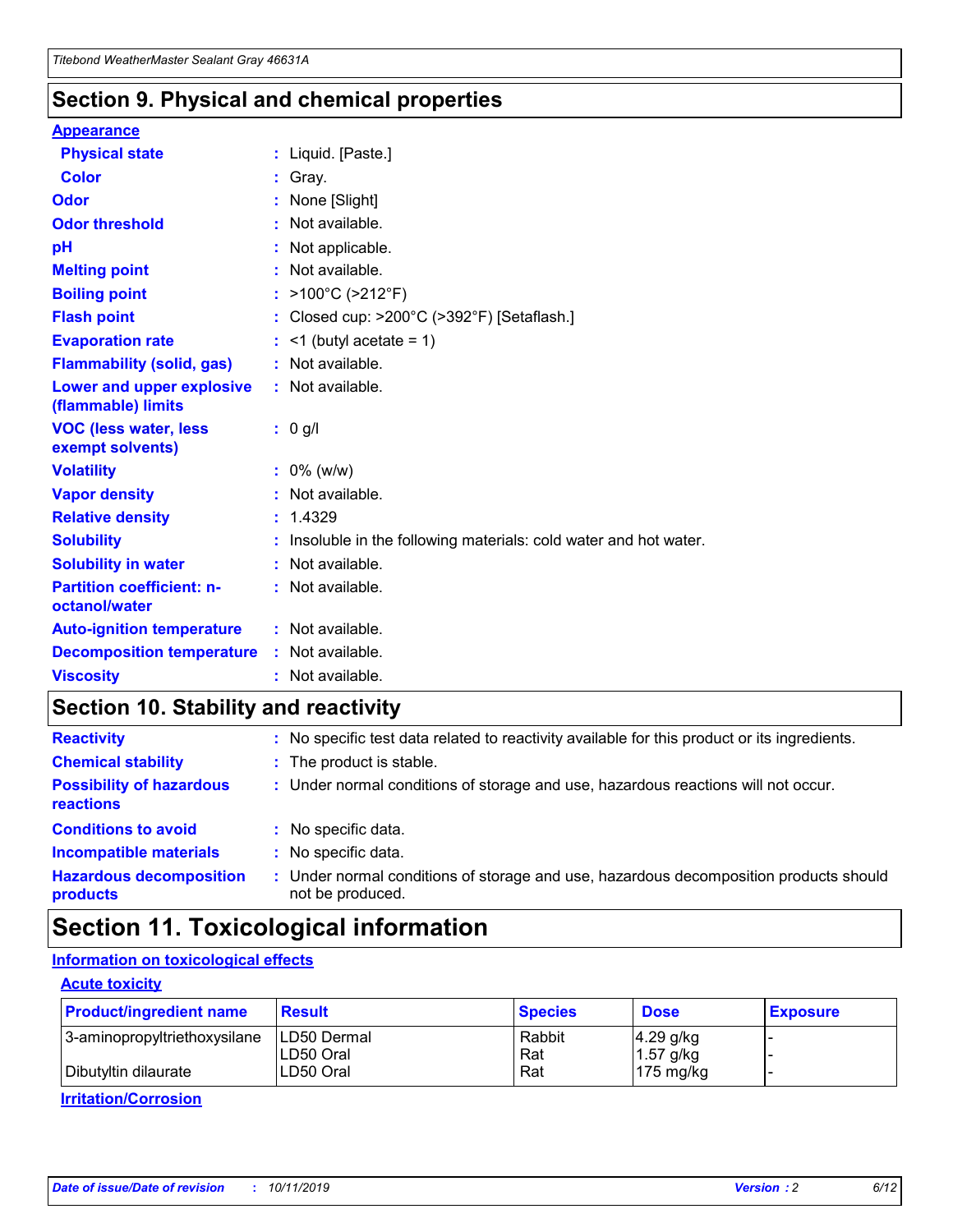### **Section 9. Physical and chemical properties**

#### **Appearance**

| <b>Physical state</b>                             | : Liquid. [Paste.]                                              |
|---------------------------------------------------|-----------------------------------------------------------------|
| Color                                             | Gray.                                                           |
| Odor                                              | None [Slight]                                                   |
| <b>Odor threshold</b>                             | $:$ Not available.                                              |
| рH                                                | : Not applicable.                                               |
| <b>Melting point</b>                              | : Not available.                                                |
| <b>Boiling point</b>                              | : >100°C (>212°F)                                               |
| <b>Flash point</b>                                | : Closed cup: >200°C (>392°F) [Setaflash.]                      |
| <b>Evaporation rate</b>                           | $:$ <1 (butyl acetate = 1)                                      |
| <b>Flammability (solid, gas)</b>                  | : Not available.                                                |
| Lower and upper explosive<br>(flammable) limits   | : Not available.                                                |
| <b>VOC (less water, less</b><br>exempt solvents)  | : 0 g/l                                                         |
| <b>Volatility</b>                                 | $: 0\%$ (w/w)                                                   |
| <b>Vapor density</b>                              | : Not available.                                                |
| <b>Relative density</b>                           | : 1.4329                                                        |
| <b>Solubility</b>                                 | Insoluble in the following materials: cold water and hot water. |
| <b>Solubility in water</b>                        | : Not available.                                                |
| <b>Partition coefficient: n-</b><br>octanol/water | $:$ Not available.                                              |
| <b>Auto-ignition temperature</b>                  | : Not available.                                                |
| <b>Decomposition temperature</b>                  | : Not available.                                                |
|                                                   |                                                                 |

### **Section 10. Stability and reactivity**

| <b>Reactivity</b>                            |    | : No specific test data related to reactivity available for this product or its ingredients.            |
|----------------------------------------------|----|---------------------------------------------------------------------------------------------------------|
| <b>Chemical stability</b>                    |    | : The product is stable.                                                                                |
| <b>Possibility of hazardous</b><br>reactions |    | : Under normal conditions of storage and use, hazardous reactions will not occur.                       |
| <b>Conditions to avoid</b>                   |    | : No specific data.                                                                                     |
| <b>Incompatible materials</b>                | ٠. | No specific data.                                                                                       |
| <b>Hazardous decomposition</b><br>products   | ÷. | Under normal conditions of storage and use, hazardous decomposition products should<br>not be produced. |

## **Section 11. Toxicological information**

#### **Information on toxicological effects**

#### **Acute toxicity**

| <b>Product/ingredient name</b> | <b>Result</b>           | <b>Species</b> | <b>Dose</b>                | <b>Exposure</b> |
|--------------------------------|-------------------------|----------------|----------------------------|-----------------|
| 3-aminopropyltriethoxysilane   | <b>ILD50 Dermal</b>     | Rabbit         | 4.29 g/kg                  |                 |
| Dibutyltin dilaurate           | ILD50 Oral<br>LD50 Oral | Rat<br>Rat     | $1.57$ g/kg<br>175 $mg/kg$ |                 |
|                                |                         |                |                            |                 |

**Irritation/Corrosion**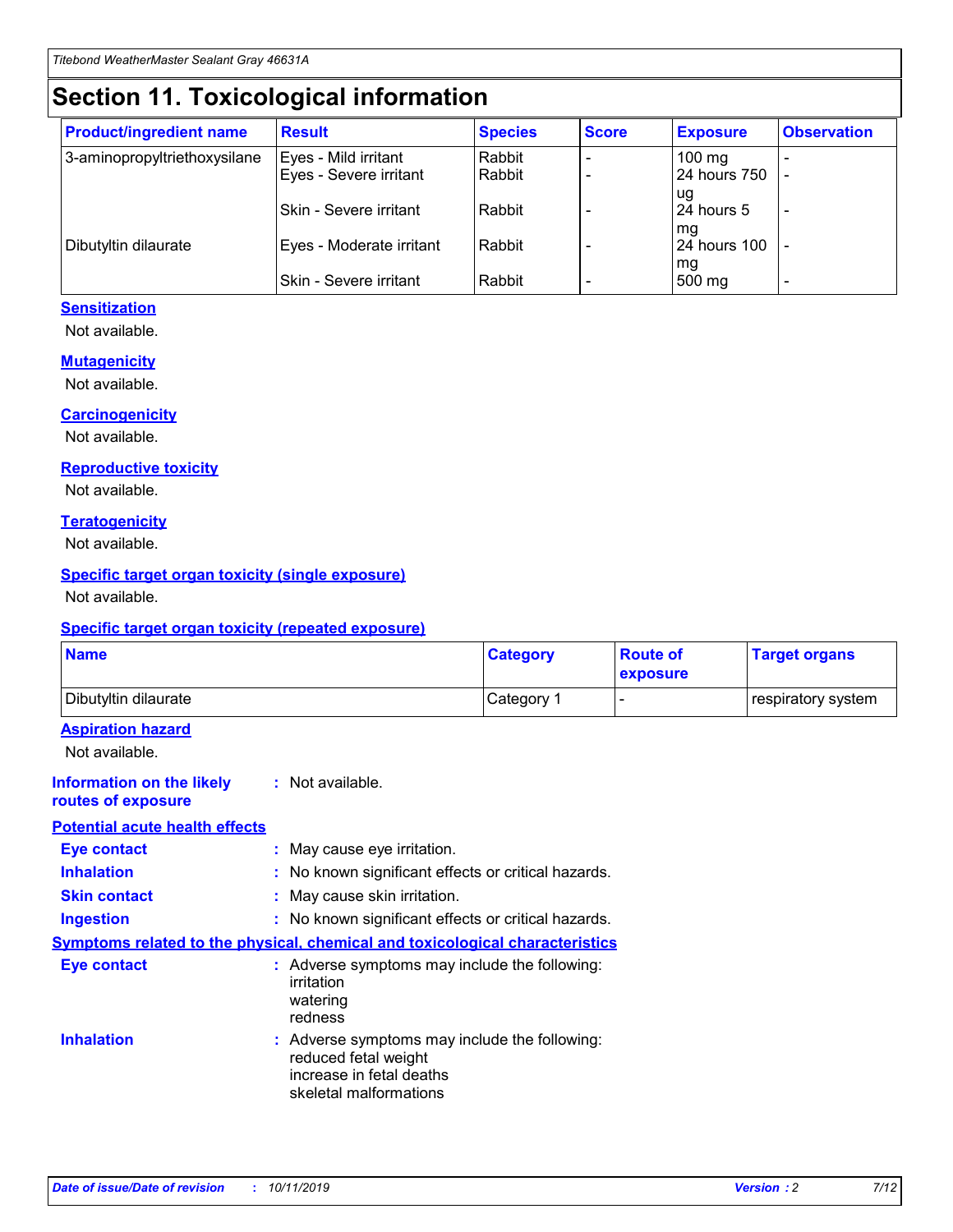## **Section 11. Toxicological information**

| <b>Product/ingredient name</b> | <b>Result</b>            | <b>Species</b> | <b>Score</b> | <b>Exposure</b>           | <b>Observation</b> |
|--------------------------------|--------------------------|----------------|--------------|---------------------------|--------------------|
| 3-aminopropyltriethoxysilane   | Eyes - Mild irritant     | Rabbit         |              | $100$ mg                  |                    |
|                                | Eyes - Severe irritant   | Rabbit         |              | 24 hours 750              |                    |
|                                |                          |                |              | ug                        |                    |
|                                | Skin - Severe irritant   | Rabbit         |              | 24 hours 5                | -                  |
| Dibutyltin dilaurate           | Eyes - Moderate irritant | Rabbit         |              | mg<br><b>24 hours 100</b> |                    |
|                                |                          |                |              | mg                        |                    |
|                                | Skin - Severe irritant   | Rabbit         |              | 500 mg                    | -                  |

#### **Sensitization**

Not available.

#### **Mutagenicity**

Not available.

#### **Carcinogenicity**

Not available.

#### **Reproductive toxicity**

Not available.

#### **Teratogenicity**

Not available.

#### **Specific target organ toxicity (single exposure)**

Not available.

#### **Specific target organ toxicity (repeated exposure)**

| <b>Name</b>                                                                  |                                                                                                                             | <b>Category</b> | <b>Route of</b><br>exposure  | <b>Target organs</b> |
|------------------------------------------------------------------------------|-----------------------------------------------------------------------------------------------------------------------------|-----------------|------------------------------|----------------------|
| Dibutyltin dilaurate                                                         |                                                                                                                             | Category 1      | $\qquad \qquad \blacksquare$ | respiratory system   |
| <b>Aspiration hazard</b><br>Not available.                                   |                                                                                                                             |                 |                              |                      |
| <b>Information on the likely</b><br>routes of exposure                       | : Not available.                                                                                                            |                 |                              |                      |
| <b>Potential acute health effects</b>                                        |                                                                                                                             |                 |                              |                      |
| <b>Eye contact</b>                                                           | : May cause eye irritation.                                                                                                 |                 |                              |                      |
| <b>Inhalation</b>                                                            | : No known significant effects or critical hazards.                                                                         |                 |                              |                      |
| <b>Skin contact</b>                                                          | : May cause skin irritation.                                                                                                |                 |                              |                      |
| <b>Ingestion</b>                                                             | : No known significant effects or critical hazards.                                                                         |                 |                              |                      |
| Symptoms related to the physical, chemical and toxicological characteristics |                                                                                                                             |                 |                              |                      |
| <b>Eye contact</b>                                                           | : Adverse symptoms may include the following:<br>irritation<br>watering<br>redness                                          |                 |                              |                      |
| <b>Inhalation</b>                                                            | : Adverse symptoms may include the following:<br>reduced fetal weight<br>increase in fetal deaths<br>skeletal malformations |                 |                              |                      |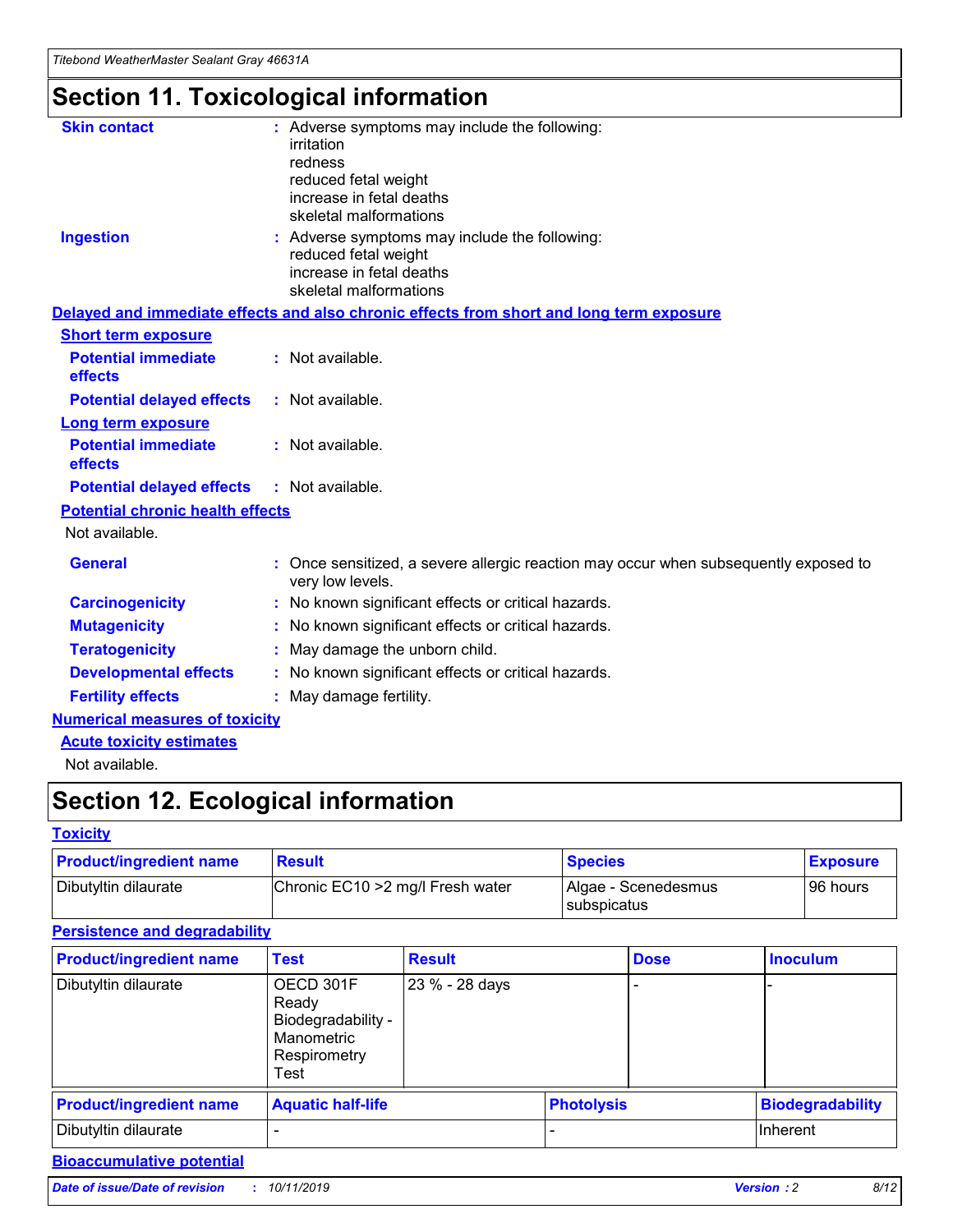## **Section 11. Toxicological information**

| <b>Skin contact</b>                     | : Adverse symptoms may include the following:<br>irritation<br>redness<br>reduced fetal weight<br>increase in fetal deaths<br>skeletal malformations |
|-----------------------------------------|------------------------------------------------------------------------------------------------------------------------------------------------------|
| <b>Ingestion</b>                        | : Adverse symptoms may include the following:<br>reduced fetal weight<br>increase in fetal deaths<br>skeletal malformations                          |
|                                         | Delayed and immediate effects and also chronic effects from short and long term exposure                                                             |
| <b>Short term exposure</b>              |                                                                                                                                                      |
| <b>Potential immediate</b><br>effects   | : Not available.                                                                                                                                     |
| <b>Potential delayed effects</b>        | : Not available.                                                                                                                                     |
| <b>Long term exposure</b>               |                                                                                                                                                      |
| <b>Potential immediate</b><br>effects   | : Not available.                                                                                                                                     |
| <b>Potential delayed effects</b>        | : Not available.                                                                                                                                     |
| <b>Potential chronic health effects</b> |                                                                                                                                                      |
| Not available.                          |                                                                                                                                                      |
| <b>General</b>                          | : Once sensitized, a severe allergic reaction may occur when subsequently exposed to<br>very low levels.                                             |
| <b>Carcinogenicity</b>                  | : No known significant effects or critical hazards.                                                                                                  |
| <b>Mutagenicity</b>                     | No known significant effects or critical hazards.                                                                                                    |
| <b>Teratogenicity</b>                   | May damage the unborn child.                                                                                                                         |
| <b>Developmental effects</b>            | No known significant effects or critical hazards.                                                                                                    |
| <b>Fertility effects</b>                | : May damage fertility.                                                                                                                              |
| <b>Numerical measures of toxicity</b>   |                                                                                                                                                      |
| <b>Acute toxicity estimates</b>         |                                                                                                                                                      |
|                                         |                                                                                                                                                      |

Not available.

## **Section 12. Ecological information**

#### **Toxicity**

| <b>Product/ingredient name</b> | <b>Result</b>                     | <b>Species</b>                       | <b>Exposure</b> |
|--------------------------------|-----------------------------------|--------------------------------------|-----------------|
| Dibutyltin dilaurate           | Chronic EC10 > 2 mg/l Fresh water | Algae - Scenedesmus<br>I subspicatus | l 96 hours i    |

#### **Persistence and degradability**

| <b>Product/ingredient name</b> | <b>Test</b>                                                                    | <b>Result</b>  |                   | <b>Dose</b> | <b>Inoculum</b>         |
|--------------------------------|--------------------------------------------------------------------------------|----------------|-------------------|-------------|-------------------------|
| Dibutyltin dilaurate           | OECD 301F<br>Ready<br>Biodegradability -<br>Manometric<br>Respirometry<br>Test | 23 % - 28 days |                   |             |                         |
| <b>Product/ingredient name</b> | <b>Aquatic half-life</b>                                                       |                | <b>Photolysis</b> |             | <b>Biodegradability</b> |
| Dibutyltin dilaurate           |                                                                                |                |                   |             | Inherent                |

#### **Bioaccumulative potential**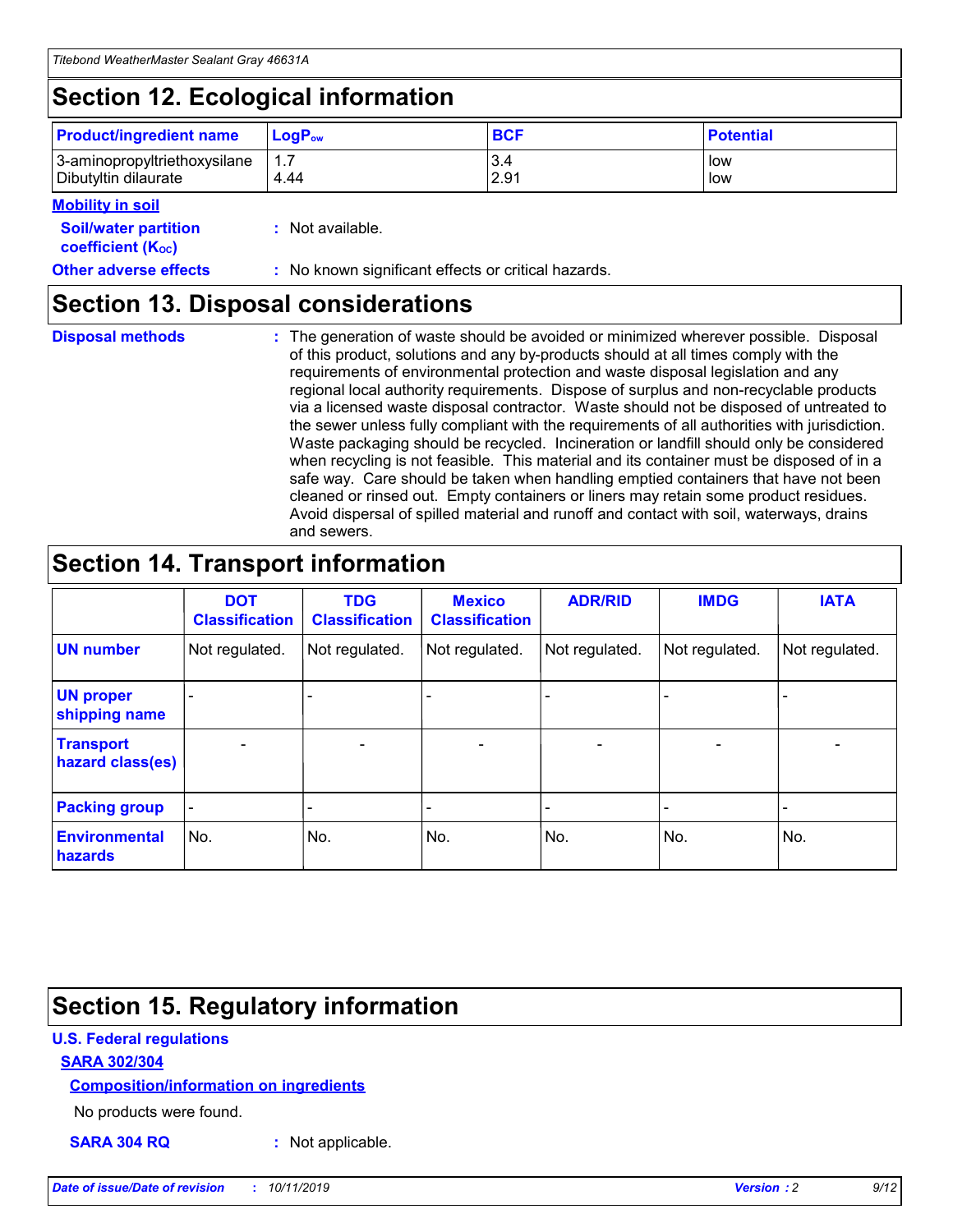## **Section 12. Ecological information**

| <b>Product/ingredient name</b> | $LoaPow$ | <b>BCF</b> | <b>Potential</b> |
|--------------------------------|----------|------------|------------------|
| 3-aminopropyltriethoxysilane   | 1.7      | 3.4        | low              |
| Dibutyltin dilaurate           | 4.44     | 2.91       | low              |

#### **Mobility in soil**

| <i></i>                                                       |                                                     |
|---------------------------------------------------------------|-----------------------------------------------------|
| <b>Soil/water partition</b><br>coefficient (K <sub>oc</sub> ) | : Not available.                                    |
| <b>Other adverse effects</b>                                  | : No known significant effects or critical hazards. |

### **Section 13. Disposal considerations**

**Disposal methods :**

The generation of waste should be avoided or minimized wherever possible. Disposal of this product, solutions and any by-products should at all times comply with the requirements of environmental protection and waste disposal legislation and any regional local authority requirements. Dispose of surplus and non-recyclable products via a licensed waste disposal contractor. Waste should not be disposed of untreated to the sewer unless fully compliant with the requirements of all authorities with jurisdiction. Waste packaging should be recycled. Incineration or landfill should only be considered when recycling is not feasible. This material and its container must be disposed of in a safe way. Care should be taken when handling emptied containers that have not been cleaned or rinsed out. Empty containers or liners may retain some product residues. Avoid dispersal of spilled material and runoff and contact with soil, waterways, drains and sewers.

## **Section 14. Transport information**

|                                      | <b>DOT</b><br><b>Classification</b> | <b>TDG</b><br><b>Classification</b> | <b>Mexico</b><br><b>Classification</b> | <b>ADR/RID</b>               | <b>IMDG</b>    | <b>IATA</b>              |
|--------------------------------------|-------------------------------------|-------------------------------------|----------------------------------------|------------------------------|----------------|--------------------------|
| <b>UN number</b>                     | Not regulated.                      | Not regulated.                      | Not regulated.                         | Not regulated.               | Not regulated. | Not regulated.           |
| <b>UN proper</b><br>shipping name    |                                     |                                     |                                        |                              |                |                          |
| <b>Transport</b><br>hazard class(es) | $\blacksquare$                      | $\overline{\phantom{0}}$            | $\overline{\phantom{a}}$               | $\qquad \qquad \blacksquare$ | $\blacksquare$ | $\overline{\phantom{0}}$ |
| <b>Packing group</b>                 | $\overline{\phantom{a}}$            | -                                   |                                        | -                            |                | -                        |
| <b>Environmental</b><br>hazards      | No.                                 | No.                                 | No.                                    | No.                          | No.            | No.                      |

## **Section 15. Regulatory information**

#### **U.S. Federal regulations**

#### **SARA 302/304**

#### **Composition/information on ingredients**

No products were found.

**SARA 304 RQ :** Not applicable.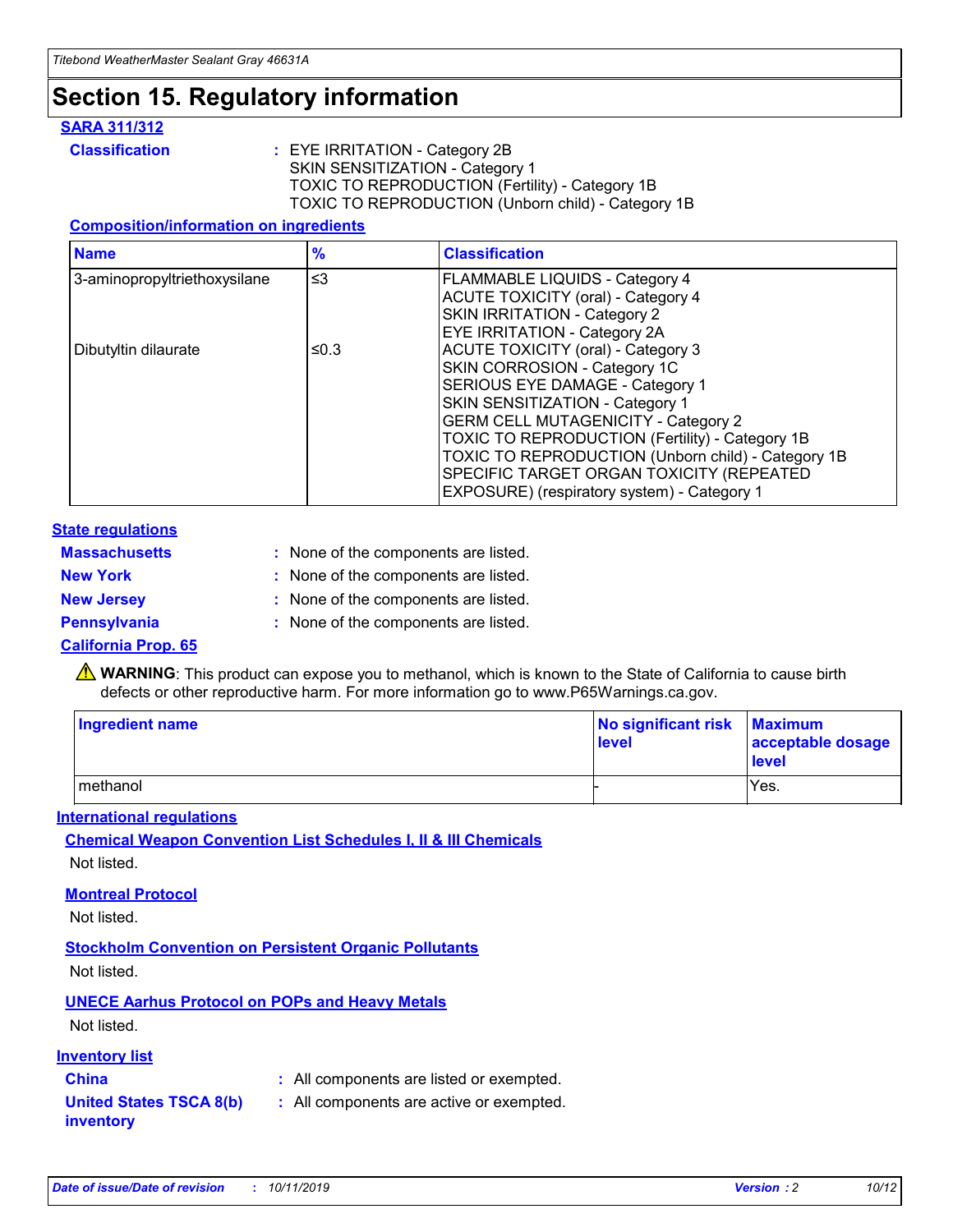## **Section 15. Regulatory information**

#### **SARA 311/312**

**Classification :** EYE IRRITATION - Category 2B SKIN SENSITIZATION - Category 1 TOXIC TO REPRODUCTION (Fertility) - Category 1B TOXIC TO REPRODUCTION (Unborn child) - Category 1B

#### **Composition/information on ingredients**

| <b>Name</b>                  | $\frac{9}{6}$ | <b>Classification</b>                                                                                            |
|------------------------------|---------------|------------------------------------------------------------------------------------------------------------------|
| 3-aminopropyltriethoxysilane | $\leq$ 3      | <b>FLAMMABLE LIQUIDS - Category 4</b><br><b>ACUTE TOXICITY (oral) - Category 4</b>                               |
|                              |               | SKIN IRRITATION - Category 2<br>EYE IRRITATION - Category 2A                                                     |
| Dibutyltin dilaurate         | ≤0.3          | ACUTE TOXICITY (oral) - Category 3<br>SKIN CORROSION - Category 1C                                               |
|                              |               | SERIOUS EYE DAMAGE - Category 1<br>SKIN SENSITIZATION - Category 1<br><b>GERM CELL MUTAGENICITY - Category 2</b> |
|                              |               | TOXIC TO REPRODUCTION (Fertility) - Category 1B<br>TOXIC TO REPRODUCTION (Unborn child) - Category 1B            |
|                              |               | SPECIFIC TARGET ORGAN TOXICITY (REPEATED<br>EXPOSURE) (respiratory system) - Category 1                          |

#### **State regulations**

| <b>Massachusetts</b> | : None of the components are listed. |
|----------------------|--------------------------------------|
| <b>New York</b>      | : None of the components are listed. |
| <b>New Jersey</b>    | : None of the components are listed. |
| <b>Pennsylvania</b>  | : None of the components are listed. |

#### **California Prop. 65**

**A** WARNING: This product can expose you to methanol, which is known to the State of California to cause birth defects or other reproductive harm. For more information go to www.P65Warnings.ca.gov.

| <b>Ingredient name</b> | No significant risk Maximum<br>level | acceptable dosage<br>level |
|------------------------|--------------------------------------|----------------------------|
| methanol               |                                      | Yes.                       |

#### **International regulations**

**Chemical Weapon Convention List Schedules I, II & III Chemicals** Not listed.

#### **Montreal Protocol**

Not listed.

#### **Stockholm Convention on Persistent Organic Pollutants**

Not listed.

#### **UNECE Aarhus Protocol on POPs and Heavy Metals**

Not listed.

#### **Inventory list**

### **China :** All components are listed or exempted.

**United States TSCA 8(b) inventory :** All components are active or exempted.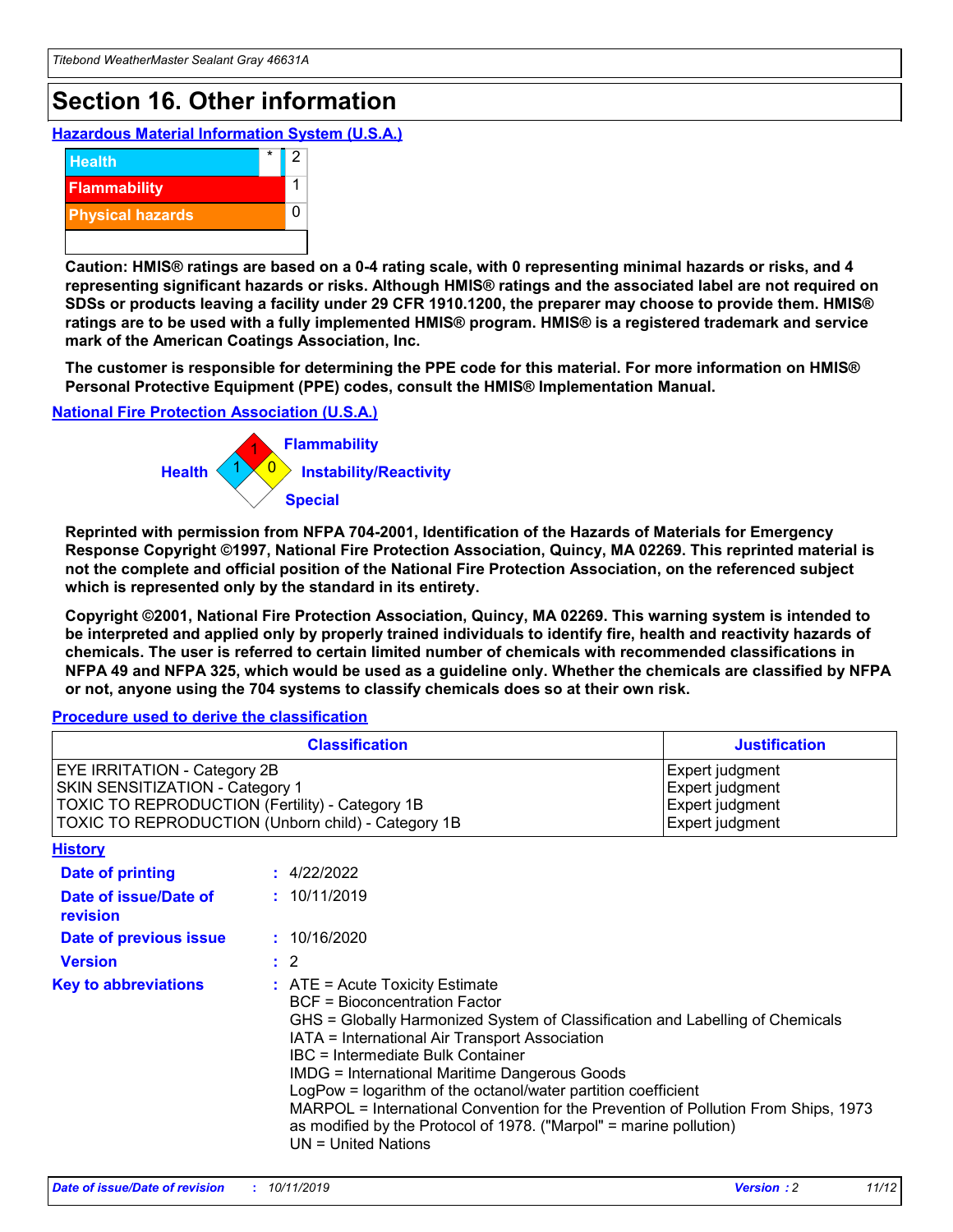## **Section 16. Other information**

**Hazardous Material Information System (U.S.A.)**



**Caution: HMIS® ratings are based on a 0-4 rating scale, with 0 representing minimal hazards or risks, and 4 representing significant hazards or risks. Although HMIS® ratings and the associated label are not required on SDSs or products leaving a facility under 29 CFR 1910.1200, the preparer may choose to provide them. HMIS® ratings are to be used with a fully implemented HMIS® program. HMIS® is a registered trademark and service mark of the American Coatings Association, Inc.**

**The customer is responsible for determining the PPE code for this material. For more information on HMIS® Personal Protective Equipment (PPE) codes, consult the HMIS® Implementation Manual.**

#### **National Fire Protection Association (U.S.A.)**



**Reprinted with permission from NFPA 704-2001, Identification of the Hazards of Materials for Emergency Response Copyright ©1997, National Fire Protection Association, Quincy, MA 02269. This reprinted material is not the complete and official position of the National Fire Protection Association, on the referenced subject which is represented only by the standard in its entirety.**

**Copyright ©2001, National Fire Protection Association, Quincy, MA 02269. This warning system is intended to be interpreted and applied only by properly trained individuals to identify fire, health and reactivity hazards of chemicals. The user is referred to certain limited number of chemicals with recommended classifications in NFPA 49 and NFPA 325, which would be used as a guideline only. Whether the chemicals are classified by NFPA or not, anyone using the 704 systems to classify chemicals does so at their own risk.**

#### **Procedure used to derive the classification**

| <b>Classification</b>                                                                                                                                                    |                                                                                                                                                                                                                                                                                                                                                                                                                                                                                                                                                               | <b>Justification</b>                                                     |
|--------------------------------------------------------------------------------------------------------------------------------------------------------------------------|---------------------------------------------------------------------------------------------------------------------------------------------------------------------------------------------------------------------------------------------------------------------------------------------------------------------------------------------------------------------------------------------------------------------------------------------------------------------------------------------------------------------------------------------------------------|--------------------------------------------------------------------------|
| EYE IRRITATION - Category 2B<br>SKIN SENSITIZATION - Category 1<br>TOXIC TO REPRODUCTION (Fertility) - Category 1B<br>TOXIC TO REPRODUCTION (Unborn child) - Category 1B |                                                                                                                                                                                                                                                                                                                                                                                                                                                                                                                                                               | Expert judgment<br>Expert judgment<br>Expert judgment<br>Expert judgment |
| <b>History</b>                                                                                                                                                           |                                                                                                                                                                                                                                                                                                                                                                                                                                                                                                                                                               |                                                                          |
| <b>Date of printing</b>                                                                                                                                                  | : 4/22/2022                                                                                                                                                                                                                                                                                                                                                                                                                                                                                                                                                   |                                                                          |
| Date of issue/Date of<br>revision                                                                                                                                        | : 10/11/2019                                                                                                                                                                                                                                                                                                                                                                                                                                                                                                                                                  |                                                                          |
| Date of previous issue                                                                                                                                                   | : 10/16/2020                                                                                                                                                                                                                                                                                                                                                                                                                                                                                                                                                  |                                                                          |
| <b>Version</b>                                                                                                                                                           | $\therefore$ 2                                                                                                                                                                                                                                                                                                                                                                                                                                                                                                                                                |                                                                          |
| <b>Key to abbreviations</b>                                                                                                                                              | $:$ ATE = Acute Toxicity Estimate<br><b>BCF</b> = Bioconcentration Factor<br>GHS = Globally Harmonized System of Classification and Labelling of Chemicals<br>IATA = International Air Transport Association<br>IBC = Intermediate Bulk Container<br><b>IMDG = International Maritime Dangerous Goods</b><br>LogPow = logarithm of the octanol/water partition coefficient<br>MARPOL = International Convention for the Prevention of Pollution From Ships, 1973<br>as modified by the Protocol of 1978. ("Marpol" = marine pollution)<br>UN = United Nations |                                                                          |